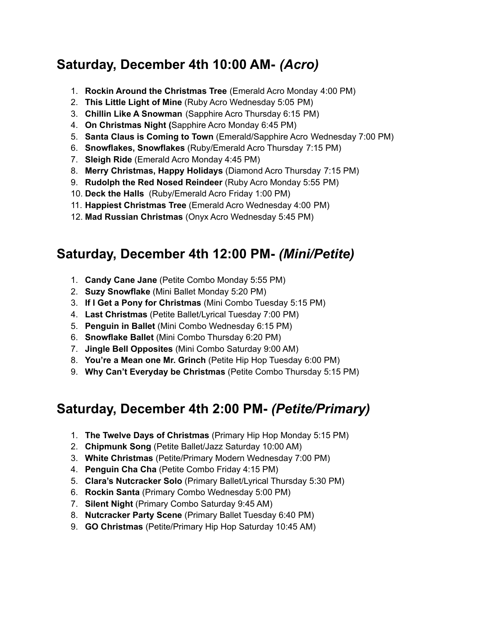## **Saturday, December 4th 10:00 AM-** *(Acro)*

- 1. **Rockin Around the Christmas Tree** (Emerald Acro Monday 4:00 PM)
- 2. **This Little Light of Mine** (Ruby Acro Wednesday 5:05 PM)
- 3. **Chillin Like A Snowman** (Sapphire Acro Thursday 6:15 PM)
- 4. **On Christmas Night (**Sapphire Acro Monday 6:45 PM)
- 5. **Santa Claus is Coming to Town** (Emerald/Sapphire Acro Wednesday 7:00 PM)
- 6. **Snowflakes, Snowflakes** (Ruby/Emerald Acro Thursday 7:15 PM)
- 7. **Sleigh Ride** (Emerald Acro Monday 4:45 PM)
- 8. **Merry Christmas, Happy Holidays** (Diamond Acro Thursday 7:15 PM)
- 9. **Rudolph the Red Nosed Reindeer** (Ruby Acro Monday 5:55 PM)
- 10. **Deck the Halls** (Ruby/Emerald Acro Friday 1:00 PM)
- 11. **Happiest Christmas Tree** (Emerald Acro Wednesday 4:00 PM)
- 12. **Mad Russian Christmas** (Onyx Acro Wednesday 5:45 PM)

## **Saturday, December 4th 12:00 PM-** *(Mini/Petite)*

- 1. **Candy Cane Jane** (Petite Combo Monday 5:55 PM)
- 2. **Suzy Snowflake** (Mini Ballet Monday 5:20 PM)
- 3. **If I Get a Pony for Christmas** (Mini Combo Tuesday 5:15 PM)
- 4. **Last Christmas** (Petite Ballet/Lyrical Tuesday 7:00 PM)
- 5. **Penguin in Ballet** (Mini Combo Wednesday 6:15 PM)
- 6. **Snowflake Ballet** (Mini Combo Thursday 6:20 PM)
- 7. **Jingle Bell Opposites** (Mini Combo Saturday 9:00 AM)
- 8. **You're a Mean one Mr. Grinch** (Petite Hip Hop Tuesday 6:00 PM)
- 9. **Why Can't Everyday be Christmas** (Petite Combo Thursday 5:15 PM)

## **Saturday, December 4th 2:00 PM-** *(Petite/Primary)*

- 1. **The Twelve Days of Christmas** (Primary Hip Hop Monday 5:15 PM)
- 2. **Chipmunk Song** (Petite Ballet/Jazz Saturday 10:00 AM)
- 3. **White Christmas** (Petite/Primary Modern Wednesday 7:00 PM)
- 4. **Penguin Cha Cha** (Petite Combo Friday 4:15 PM)
- 5. **Clara's Nutcracker Solo** (Primary Ballet/Lyrical Thursday 5:30 PM)
- 6. **Rockin Santa** (Primary Combo Wednesday 5:00 PM)
- 7. **Silent Night** (Primary Combo Saturday 9:45 AM)
- 8. **Nutcracker Party Scene** (Primary Ballet Tuesday 6:40 PM)
- 9. **GO Christmas** (Petite/Primary Hip Hop Saturday 10:45 AM)